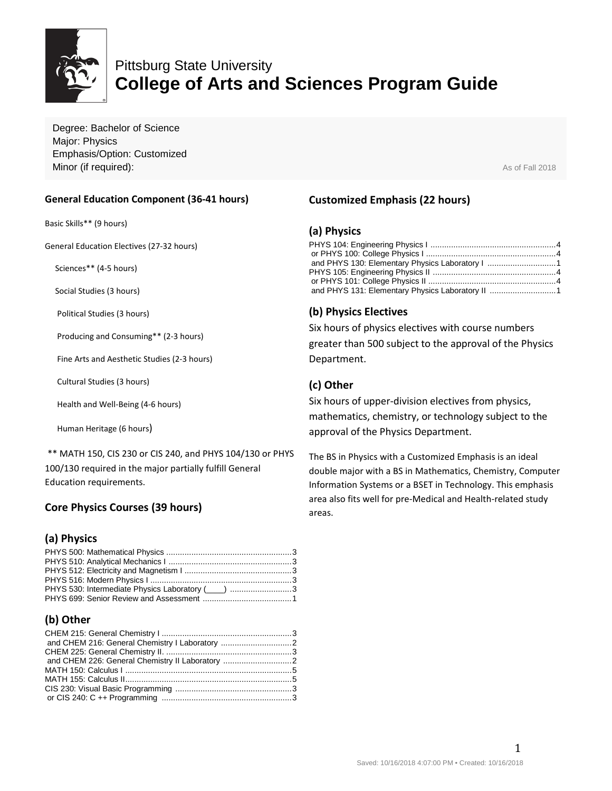

# Pittsburg State University **College of Arts and Sciences Program Guide**

Degree: Bachelor of Science Major: Physics Emphasis/Option: Customized **Minor (if required):** As of Fall 2018

#### **General Education Component (36-41 hours)**

Basic Skills\*\* (9 hours)

General Education Electives (27-32 hours)

Sciences\*\* (4-5 hours)

Social Studies (3 hours)

Political Studies (3 hours)

Producing and Consuming\*\* (2-3 hours)

Fine Arts and Aesthetic Studies (2-3 hours)

Cultural Studies (3 hours)

Health and Well-Being (4-6 hours)

Human Heritage (6 hours)

\*\* MATH 150, CIS 230 or CIS 240, and PHYS 104/130 or PHYS 100/130 required in the major partially fulfill General Education requirements.

# **Core Physics Courses (39 hours)**

# **(a) Physics**

| PHYS 530: Intermediate Physics Laboratory (____) 3 |  |
|----------------------------------------------------|--|
|                                                    |  |

# **(b) Other**

# **Customized Emphasis (22 hours)**

#### **(a) Physics**

| and PHYS 131: Elementary Physics Laboratory II 1 |  |
|--------------------------------------------------|--|

#### **(b) Physics Electives**

Six hours of physics electives with course numbers greater than 500 subject to the approval of the Physics Department.

#### **(c) Other**

Six hours of upper-division electives from physics, mathematics, chemistry, or technology subject to the approval of the Physics Department.

The BS in Physics with a Customized Emphasis is an ideal double major with a BS in Mathematics, Chemistry, Computer Information Systems or a BSET in Technology. This emphasis area also fits well for pre-Medical and Health-related study areas.